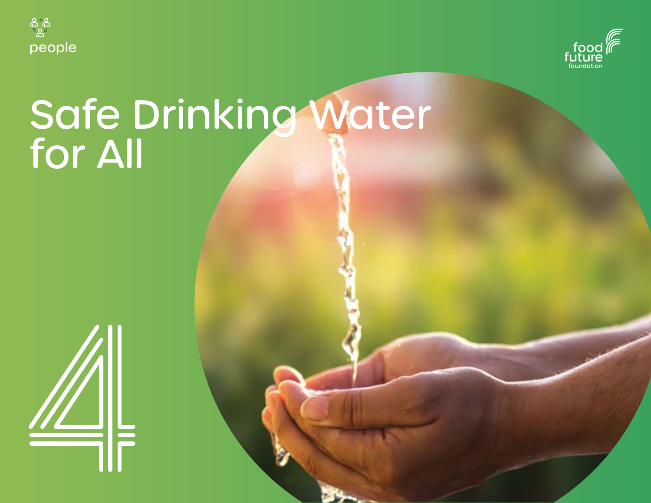



# Safe Drinking Water for All

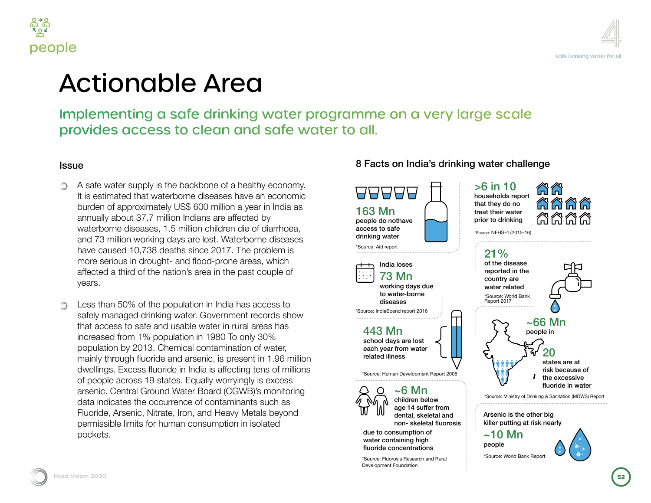



### ble Area

### safe drinking water programme on a very large scale  $\frac{1}{2}$  to clean and safe water to all.

he backbone of a healthy economy. erborne diseases have an economic  $\gamma$  US\$ 600 million a year in India as lion Indians are affected by .5 million children die of diarrhoea, days are lost. Waterborne diseases haths since 2017. The problem is t- and flood-prone areas, which ation's area in the past couple of

lopulation in India has access to g water. Government records show usable water in rural areas has ulation in 1980 To only 30% emical contamination of water, and arsenic, is present in 1.96 million de in India is affecting tens of millions tes. Equally worryingly is excess U Water Board (CGWB)'s monitoring rrence of contaminants such as e, Iron, and Heavy Metals beyond man consumption in isolated

#### 8 Facts on India's drinking water challenge



non- skeletal fluorosis

due to consumption of water containing high fluoride concentrations

\*Source: Fluorosis Research and Rural Development Foundation

ÄÃ ลลลล 俗合合合



\*Source: Ministry of Drinking & Sanitation (MDWS) Report

Arsenic is the other big killer putting at risk nearly

 $~10$  Mn people

\*Source: World Bank Report

years.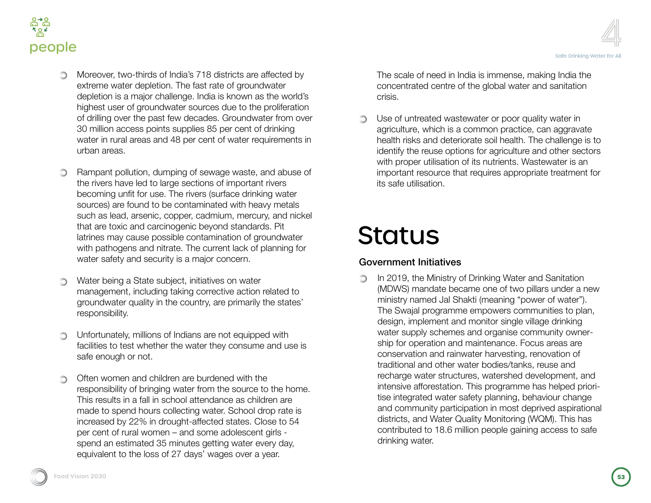



- Moreover, two-thirds of India's 718 districts are affected by extreme water depletion. The fast rate of groundwater depletion is a major challenge. India is known as the world's highest user of groundwater sources due to the proliferation of drilling over the past few decades. Groundwater from over 30 million access points supplies 85 per cent of drinking water in rural areas and 48 per cent of water requirements in urban areas.
- Rampant pollution, dumping of sewage waste, and abuse of  $\circledcirc$ the rivers have led to large sections of important rivers becoming unfit for use. The rivers (surface drinking water sources) are found to be contaminated with heavy metals such as lead, arsenic, copper, cadmium, mercury, and nickel that are toxic and carcinogenic beyond standards. Pit latrines may cause possible contamination of groundwater with pathogens and nitrate. The current lack of planning for water safety and security is a major concern.
- Water being a State subject, initiatives on water ∩ management, including taking corrective action related to groundwater quality in the country, are primarily the states' responsibility.
- Unfortunately, millions of Indians are not equipped with ∩ facilities to test whether the water they consume and use is safe enough or not.
- Often women and children are burdened with the O. responsibility of bringing water from the source to the home. This results in a fall in school attendance as children are made to spend hours collecting water. School drop rate is increased by 22% in drought-affected states. Close to 54 per cent of rural women – and some adolescent girls spend an estimated 35 minutes getting water every day, equivalent to the loss of 27 days' wages over a year.

The scale of need in India is immense, making India the concentrated centre of the global water and sanitation crisis.

∩ Use of untreated wastewater or poor quality water in agriculture, which is a common practice, can aggravate health risks and deteriorate soil health. The challenge is to identify the reuse options for agriculture and other sectors with proper utilisation of its nutrients. Wastewater is an important resource that requires appropriate treatment for its safe utilisation.

## Status

#### Government Initiatives

In 2019, the Ministry of Drinking Water and Sanitation  $\circledcirc$ (MDWS) mandate became one of two pillars under a new ministry named Jal Shakti (meaning "power of water"). The Swajal programme empowers communities to plan, design, implement and monitor single village drinking water supply schemes and organise community ownership for operation and maintenance. Focus areas are conservation and rainwater harvesting, renovation of traditional and other water bodies/tanks, reuse and recharge water structures, watershed development, and intensive afforestation. This programme has helped prioritise integrated water safety planning, behaviour change and community participation in most deprived aspirational districts, and Water Quality Monitoring (WQM). This has contributed to 18.6 million people gaining access to safe drinking water.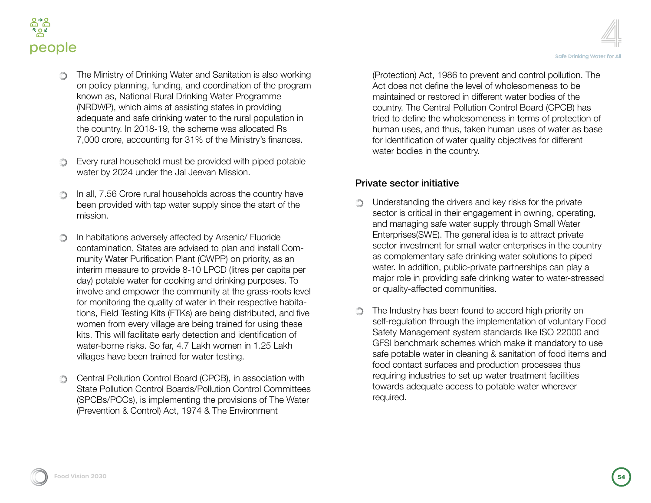

- The Ministry of Drinking Water and Sanitation is also working on policy planning, funding, and coordination of the program known as, National Rural Drinking Water Programme (NRDWP), which aims at assisting states in providing adequate and safe drinking water to the rural population in the country. In 2018-19, the scheme was allocated Rs 7,000 crore, accounting for 31% of the Ministry's finances.
- Every rural household must be provided with piped potable  $\bigcirc$ water by 2024 under the Jal Jeevan Mission.
- In all, 7.56 Crore rural households across the country have ∩ been provided with tap water supply since the start of the mission.
- In habitations adversely affected by Arsenic/ Fluoride contamination, States are advised to plan and install Community Water Purification Plant (CWPP) on priority, as an interim measure to provide 8-10 LPCD (litres per capita per day) potable water for cooking and drinking purposes. To involve and empower the community at the grass-roots level for monitoring the quality of water in their respective habitations, Field Testing Kits (FTKs) are being distributed, and five women from every village are being trained for using these kits. This will facilitate early detection and identification of water-borne risks. So far, 4.7 Lakh women in 1.25 Lakh villages have been trained for water testing.
- Central Pollution Control Board (CPCB), in association with  $\bigcirc$ State Pollution Control Boards/Pollution Control Committees (SPCBs/PCCs), is implementing the provisions of The Water (Prevention & Control) Act, 1974 & The Environment

(Protection) Act, 1986 to prevent and control pollution. The Act does not define the level of wholesomeness to be maintained or restored in different water bodies of the country. The Central Pollution Control Board (CPCB) has tried to define the wholesomeness in terms of protection of human uses, and thus, taken human uses of water as base for identification of water quality objectives for different water bodies in the country.

#### its safety in the state utility safety of the private sector initiative private sector initiative

- **Inderstanding the drivers and key risks for the private** sector is critical in their engagement in owning, operating, and managing safe water supply through Small Water Enterprises(SWE). The general idea is to attract private sector investment for small water enterprises in the country as complementary safe drinking water solutions to piped water. In addition, public-private partnerships can play a major role in providing safe drinking water to water-stressed or quality-affected communities.
- The Industry has been found to accord high priority on self-regulation through the implementation of voluntary Food Safety Management system standards like ISO 22000 and GFSI benchmark schemes which make it mandatory to use safe potable water in cleaning & sanitation of food items and food contact surfaces and production processes thus requiring industries to set up water treatment facilities towards adequate access to potable water wherever required.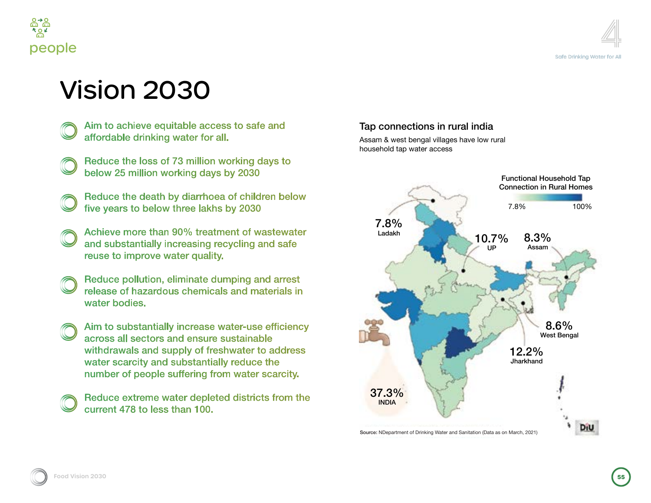



### Vision 2030

- Aim to achieve equitable access to safe and affordable drinking water for all.
- Reduce the loss of 73 million working days to below 25 million working days by 2030
- Reduce the death by diarrhoea of children below five years to below three lakhs by 2030
- Achieve more than 90% treatment of wastewater and substantially increasing recycling and safe reuse to improve water quality.
- Reduce pollution, eliminate dumping and arrest release of hazardous chemicals and materials in water bodies.
- Aim to substantially increase water-use efficiency across all sectors and ensure sustainable withdrawals and supply of freshwater to address water scarcity and substantially reduce the number of people suffering from water scarcity.
- Reduce extreme water depleted districts from the current 478 to less than 100.

#### Tap connections in rural india

Assam & west bengal villages have low rural household tap water access

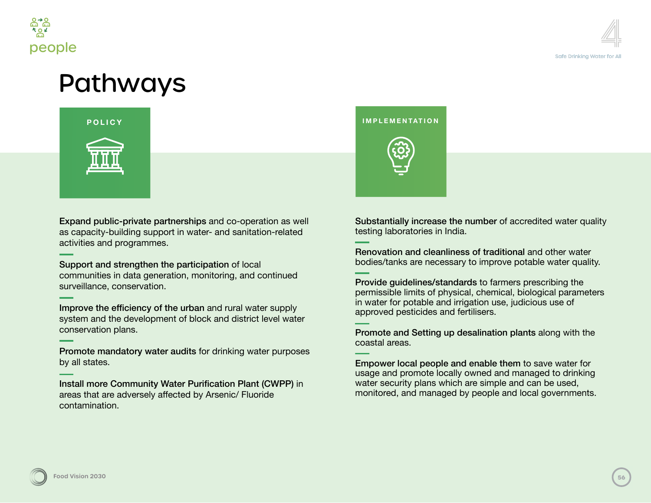

### Pathways



Expand public-private partnerships and co-operation as well as capacity-building support in water- and sanitation-related activities and programmes.

Support and strengthen the participation of local communities in data generation, monitoring, and continued surveillance, conservation.

Improve the efficiency of the urban and rural water supply system and the development of block and district level water conservation plans.

Promote mandatory water audits for drinking water purposes by all states.

Install more Community Water Purification Plant (CWPP) in areas that are adversely affected by Arsenic/ Fluoride contamination.



Substantially increase the number of accredited water quality testing laboratories in India.

Renovation and cleanliness of traditional and other water bodies/tanks are necessary to improve potable water quality.

Provide guidelines/standards to farmers prescribing the permissible limits of physical, chemical, biological parameters in water for potable and irrigation use, judicious use of approved pesticides and fertilisers.

Promote and Setting up desalination plants along with the coastal areas.

Empower local people and enable them to save water for usage and promote locally owned and managed to drinking water security plans which are simple and can be used, monitored, and managed by people and local governments.